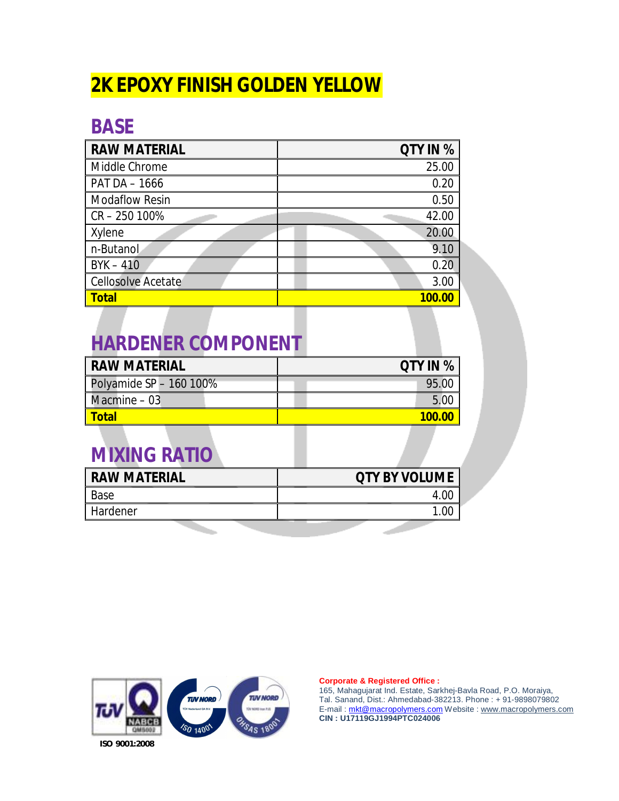# **2K EPOXY FINISH GOLDEN YELLOW**

### **BASE**

| <b>RAW MATERIAL</b>       | QTY IN % |
|---------------------------|----------|
| Middle Chrome             | 25.00    |
| PAT DA - 1666             | 0.20     |
| <b>Modaflow Resin</b>     | 0.50     |
| CR-250 100%               | 42.00    |
| Xylene                    | 20.00    |
| n-Butanol                 | 9.10     |
| $BYK - 410$               | 0.20     |
| <b>Cellosolve Acetate</b> | 3.00     |
| <b>Total</b>              | 100.00   |

## **HARDENER COMPONENT**

| <b>RAW MATERIAL</b>     | <b>QTY IN %</b> |
|-------------------------|-----------------|
| Polyamide SP - 160 100% | 95.0            |
| Macmine - 03            | Б.              |
| <b>Total</b>            | <u>100.00</u>   |

## **MIXING RATIO**

| <b>RAW MATERIAL</b> | <b>QTY BY VOLUME</b> |
|---------------------|----------------------|
| Base                | 4 OC                 |
| Hardener            |                      |
|                     |                      |



### **Corporate & Registered Office :**

165, Mahagujarat Ind. Estate, Sarkhej-Bavla Road, P.O. Moraiya, Tal. Sanand, Dist.: Ahmedabad-382213. Phone : + 91-9898079802 E-mail : [mkt@macropolymers.com](mailto:mkt@macropolymers.com) Website : [www.macropolymers.com](http://www.macropolymers.com) **CIN : U17119GJ1994PTC024006**